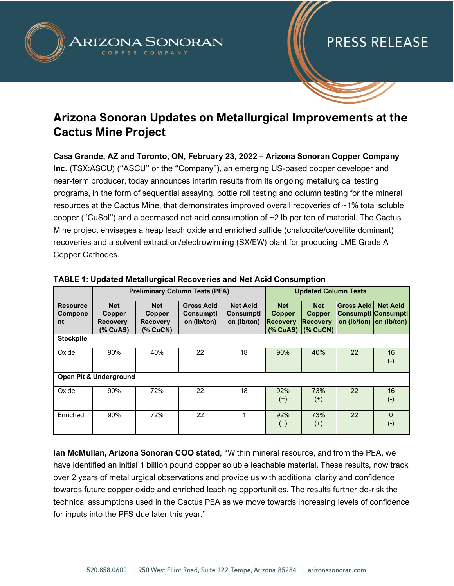

### **Arizona Sonoran Updates on Metallurgical Improvements at the Cactus Mine Project**

**Casa Grande, AZ and Toronto, ON, February 23, 2022 – Arizona Sonoran Copper Company Inc.** (TSX:ASCU) ("ASCU" or the "Company"), an emerging US-based copper developer and near-term producer, today announces interim results from its ongoing metallurgical testing programs, in the form of sequential assaying, bottle roll testing and column testing for the mineral resources at the Cactus Mine, that demonstrates improved overall recoveries of ~1% total soluble copper ("CuSol") and a decreased net acid consumption of  $\sim$ 2 lb per ton of material. The Cactus Mine project envisages a heap leach oxide and enriched sulfide (chalcocite/covellite dominant) recoveries and a solvent extraction/electrowinning (SX/EW) plant for producing LME Grade A Copper Cathodes.

|                                   | <b>Preliminary Column Tests (PEA)</b>               |                                                     |                                               |                                                    | <b>Updated Column Tests</b>                    |                                                                     |                                          |                                            |
|-----------------------------------|-----------------------------------------------------|-----------------------------------------------------|-----------------------------------------------|----------------------------------------------------|------------------------------------------------|---------------------------------------------------------------------|------------------------------------------|--------------------------------------------|
| <b>Resource</b><br>Compone<br>nt  | <b>Net</b><br>Copper<br><b>Recovery</b><br>(% CuAS) | <b>Net</b><br>Copper<br><b>Recovery</b><br>(% CuCN) | <b>Gross Acid</b><br>Consumpti<br>on (lb/ton) | <b>Net Acid</b><br><b>Consumpti</b><br>on (lb/ton) | <b>Net</b><br><b>Copper</b><br><b>Recovery</b> | <b>Net</b><br><b>Copper</b><br><b>Recovery</b><br>(% CuAS) (% CuCN) | <b>Gross Acid</b><br>Consumpti Consumpti | <b>Net Acid</b><br>on (lb/ton) on (lb/ton) |
| <b>Stockpile</b>                  |                                                     |                                                     |                                               |                                                    |                                                |                                                                     |                                          |                                            |
| Oxide                             | 90%                                                 | 40%                                                 | 22                                            | 18                                                 | 90%                                            | 40%                                                                 | 22                                       | 16<br>$(\cdot)$                            |
| <b>Open Pit &amp; Underground</b> |                                                     |                                                     |                                               |                                                    |                                                |                                                                     |                                          |                                            |
| Oxide                             | 90%                                                 | 72%                                                 | 22                                            | 18                                                 | 92%<br>$^{(+)}$                                | 73%<br>$^{(+)}$                                                     | 22                                       | 16<br>$(\textnormal{-})$                   |
| Enriched                          | 90%                                                 | 72%                                                 | 22                                            |                                                    | 92%<br>$^{(+)}$                                | 73%<br>$^{(+)}$                                                     | 22                                       | $\Omega$<br>$(\textnormal{-})$             |

#### **TABLE 1: Updated Metallurgical Recoveries and Net Acid Consumption**

**Ian McMullan, Arizona Sonoran COO stated**, "Within mineral resource, and from the PEA, we have identified an initial 1 billion pound copper soluble leachable material. These results, now track over 2 years of metallurgical observations and provide us with additional clarity and confidence towards future copper oxide and enriched leaching opportunities. The results further de-risk the technical assumptions used in the Cactus PEA as we move towards increasing levels of confidence for inputs into the PFS due later this year."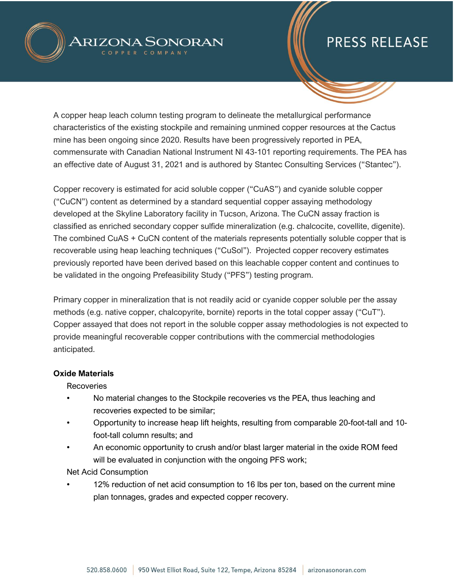

A copper heap leach column testing program to delineate the metallurgical performance characteristics of the existing stockpile and remaining unmined copper resources at the Cactus mine has been ongoing since 2020. Results have been progressively reported in PEA, commensurate with Canadian National Instrument NI 43-101 reporting requirements. The PEA has an effective date of August 31, 2021 and is authored by Stantec Consulting Services ("Stantec").

Copper recovery is estimated for acid soluble copper ("CuAS") and cyanide soluble copper ("CuCN") content as determined by a standard sequential copper assaying methodology developed at the Skyline Laboratory facility in Tucson, Arizona. The CuCN assay fraction is classified as enriched secondary copper sulfide mineralization (e.g. chalcocite, covellite, digenite). The combined CuAS + CuCN content of the materials represents potentially soluble copper that is recoverable using heap leaching techniques ("CuSol"). Projected copper recovery estimates previously reported have been derived based on this leachable copper content and continues to be validated in the ongoing Prefeasibility Study ("PFS") testing program.

Primary copper in mineralization that is not readily acid or cyanide copper soluble per the assay methods (e.g. native copper, chalcopyrite, bornite) reports in the total copper assay ("CuT"). Copper assayed that does not report in the soluble copper assay methodologies is not expected to provide meaningful recoverable copper contributions with the commercial methodologies anticipated.

#### **Oxide Materials**

Recoveries

- No material changes to the Stockpile recoveries vs the PEA, thus leaching and recoveries expected to be similar;
- Opportunity to increase heap lift heights, resulting from comparable 20-foot-tall and 10 foot-tall column results; and
- An economic opportunity to crush and/or blast larger material in the oxide ROM feed will be evaluated in conjunction with the ongoing PFS work;

Net Acid Consumption

12% reduction of net acid consumption to 16 lbs per ton, based on the current mine plan tonnages, grades and expected copper recovery.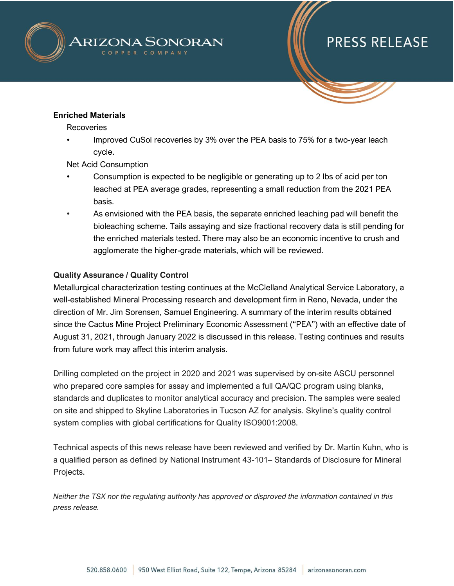

#### **Enriched Materials**

Recoveries

• Improved CuSol recoveries by 3% over the PEA basis to 75% for a two-year leach cycle.

Net Acid Consumption

- Consumption is expected to be negligible or generating up to 2 lbs of acid per ton leached at PEA average grades, representing a small reduction from the 2021 PEA basis.
- As envisioned with the PEA basis, the separate enriched leaching pad will benefit the bioleaching scheme. Tails assaying and size fractional recovery data is still pending for the enriched materials tested. There may also be an economic incentive to crush and agglomerate the higher-grade materials, which will be reviewed.

#### **Quality Assurance / Quality Control**

Metallurgical characterization testing continues at the McClelland Analytical Service Laboratory, a well-established Mineral Processing research and development firm in Reno, Nevada, under the direction of Mr. Jim Sorensen, Samuel Engineering. A summary of the interim results obtained since the Cactus Mine Project Preliminary Economic Assessment ("PEA") with an effective date of August 31, 2021, through January 2022 is discussed in this release. Testing continues and results from future work may affect this interim analysis.

Drilling completed on the project in 2020 and 2021 was supervised by on-site ASCU personnel who prepared core samples for assay and implemented a full QA/QC program using blanks, standards and duplicates to monitor analytical accuracy and precision. The samples were sealed on site and shipped to Skyline Laboratories in Tucson AZ for analysis. Skyline's quality control system complies with global certifications for Quality ISO9001:2008.

Technical aspects of this news release have been reviewed and verified by Dr. Martin Kuhn, who is a qualified person as defined by National Instrument 43-101– Standards of Disclosure for Mineral Projects.

*Neither the TSX nor the regulating authority has approved or disproved the information contained in this press release.*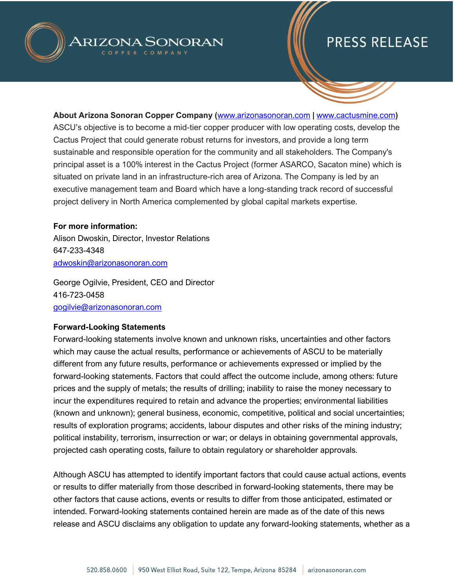



**About Arizona Sonoran Copper Company (**[www.arizonasonoran.com](http://www.arizonasonoran.com/) **|** [www.cactusmine.com](http://www.cactusmine.com/)**)** ASCU's objective is to become a mid-tier copper producer with low operating costs, develop the Cactus Project that could generate robust returns for investors, and provide a long term sustainable and responsible operation for the community and all stakeholders. The Company's principal asset is a 100% interest in the Cactus Project (former ASARCO, Sacaton mine) which is situated on private land in an infrastructure-rich area of Arizona. The Company is led by an executive management team and Board which have a long-standing track record of successful project delivery in North America complemented by global capital markets expertise.

#### **For more information:**

Alison Dwoskin, Director, Investor Relations 647-233-4348 [adwoskin@arizonasonoran.com](mailto:adwoskin@arizonasonoran.com)

George Ogilvie, President, CEO and Director 416-723-0458 [gogilvie@arizonasonoran.com](mailto:gogilvie@arizonasonoran.com)

#### **Forward-Looking Statements**

Forward-looking statements involve known and unknown risks, uncertainties and other factors which may cause the actual results, performance or achievements of ASCU to be materially different from any future results, performance or achievements expressed or implied by the forward-looking statements. Factors that could affect the outcome include, among others: future prices and the supply of metals; the results of drilling; inability to raise the money necessary to incur the expenditures required to retain and advance the properties; environmental liabilities (known and unknown); general business, economic, competitive, political and social uncertainties; results of exploration programs; accidents, labour disputes and other risks of the mining industry; political instability, terrorism, insurrection or war; or delays in obtaining governmental approvals, projected cash operating costs, failure to obtain regulatory or shareholder approvals.

Although ASCU has attempted to identify important factors that could cause actual actions, events or results to differ materially from those described in forward-looking statements, there may be other factors that cause actions, events or results to differ from those anticipated, estimated or intended. Forward-looking statements contained herein are made as of the date of this news release and ASCU disclaims any obligation to update any forward-looking statements, whether as a